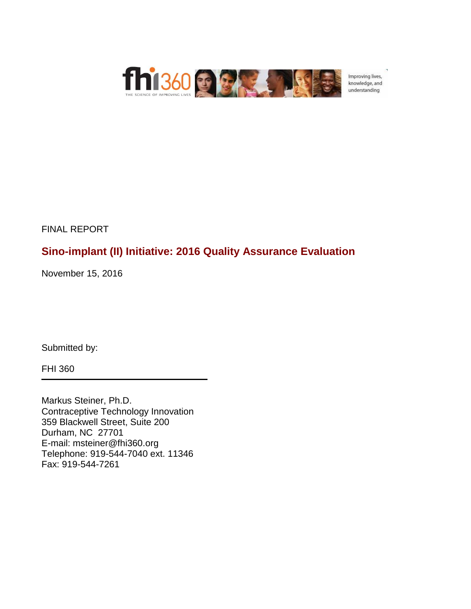

Improving lives, knowledge, and understanding

FINAL REPORT

# **Sino-implant (II) Initiative: 2016 Quality Assurance Evaluation**

November 15, 2016

Submitted by:

FHI 360

Markus Steiner, Ph.D. Contraceptive Technology Innovation 359 Blackwell Street, Suite 200 Durham, NC 27701 E-mail: msteiner@fhi360.org Telephone: 919-544-7040 ext. 11346 Fax: 919-544-7261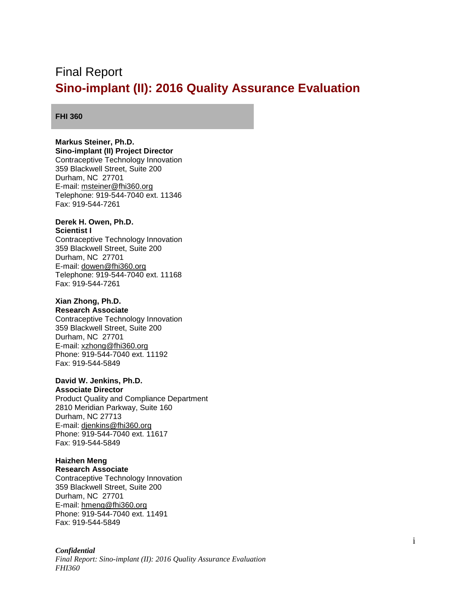# <span id="page-1-0"></span>Final Report **Sino-implant (II): 2016 Quality Assurance Evaluation**

#### **FHI 360**

### **Markus Steiner, Ph.D.**

**Sino-implant (II) Project Director** Contraceptive Technology Innovation 359 Blackwell Street, Suite 200 Durham, NC 27701 E-mail: [msteiner@fhi360.org](mailto:msteiner@fhi360.org) Telephone: 919-544-7040 ext. 11346 Fax: 919-544-7261

#### **Derek H. Owen, Ph.D. Scientist I**

Contraceptive Technology Innovation 359 Blackwell Street, Suite 200 Durham, NC 27701 E-mail: [dowen@fhi360.org](mailto:dowen@fhi360.org) Telephone: 919-544-7040 ext. 11168 Fax: 919-544-7261

### **Xian Zhong, Ph.D.**

**Research Associate** Contraceptive Technology Innovation 359 Blackwell Street, Suite 200 Durham, NC 27701 E-mail: [xzhong@fhi360.org](mailto:xzhong@fhi360.org) Phone: 919-544-7040 ext. 11192 Fax: 919-544-5849

### **David W. Jenkins, Ph.D.**

**Associate Director** Product Quality and Compliance Department 2810 Meridian Parkway, Suite 160 Durham, NC 27713 E-mail: [djenkins@fhi360.org](mailto:djenkins@fhi360.org) Phone: 919-544-7040 ext. 11617 Fax: 919-544-5849

## **Haizhen Meng**

**Research Associate** Contraceptive Technology Innovation 359 Blackwell Street, Suite 200 Durham, NC 27701 E-mail: [hmeng@fhi360.org](mailto:hmeng@fhi360.org) Phone: 919-544-7040 ext. 11491 Fax: 919-544-5849

#### *Confidential*

*Final Report: Sino-implant (II): 2016 Quality Assurance Evaluation FHI360*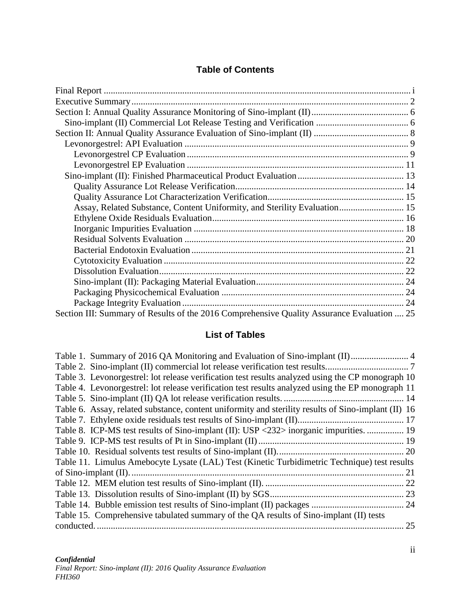## **Table of Contents**

| Assay, Related Substance, Content Uniformity, and Sterility Evaluation 15                  |  |
|--------------------------------------------------------------------------------------------|--|
|                                                                                            |  |
|                                                                                            |  |
|                                                                                            |  |
|                                                                                            |  |
|                                                                                            |  |
|                                                                                            |  |
|                                                                                            |  |
|                                                                                            |  |
|                                                                                            |  |
| Section III: Summary of Results of the 2016 Comprehensive Quality Assurance Evaluation  25 |  |

## **List of Tables**

| Table 1. Summary of 2016 QA Monitoring and Evaluation of Sino-implant (II) 4                        |    |
|-----------------------------------------------------------------------------------------------------|----|
|                                                                                                     |    |
| Table 3. Levonorgestrel: lot release verification test results analyzed using the CP monograph 10   |    |
| Table 4. Levonorgestrel: lot release verification test results analyzed using the EP monograph 11   |    |
|                                                                                                     |    |
| Table 6. Assay, related substance, content uniformity and sterility results of Sino-implant (II) 16 |    |
|                                                                                                     |    |
| Table 8. ICP-MS test results of Sino-implant (II): USP <232> inorganic impurities.  19              |    |
|                                                                                                     |    |
|                                                                                                     |    |
| Table 11. Limulus Amebocyte Lysate (LAL) Test (Kinetic Turbidimetric Technique) test results        |    |
|                                                                                                     | 21 |
|                                                                                                     |    |
|                                                                                                     |    |
|                                                                                                     |    |
| Table 15. Comprehensive tabulated summary of the QA results of Sino-implant (II) tests              |    |
|                                                                                                     | 25 |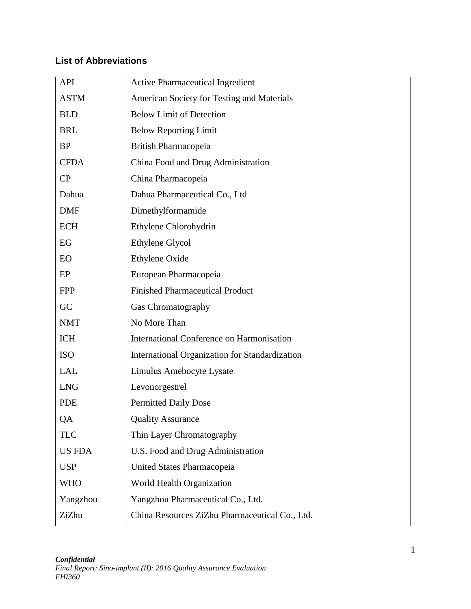## **List of Abbreviations**

| <b>API</b>    | <b>Active Pharmaceutical Ingredient</b>          |  |  |
|---------------|--------------------------------------------------|--|--|
| <b>ASTM</b>   | American Society for Testing and Materials       |  |  |
| <b>BLD</b>    | <b>Below Limit of Detection</b>                  |  |  |
| <b>BRL</b>    | <b>Below Reporting Limit</b>                     |  |  |
| <b>BP</b>     | British Pharmacopeia                             |  |  |
| <b>CFDA</b>   | China Food and Drug Administration               |  |  |
| CP            | China Pharmacopeia                               |  |  |
| Dahua         | Dahua Pharmaceutical Co., Ltd                    |  |  |
| <b>DMF</b>    | Dimethylformamide                                |  |  |
| <b>ECH</b>    | Ethylene Chlorohydrin                            |  |  |
| EG            | Ethylene Glycol                                  |  |  |
| EO            | Ethylene Oxide                                   |  |  |
| EP            | European Pharmacopeia                            |  |  |
| <b>FPP</b>    | <b>Finished Pharmaceutical Product</b>           |  |  |
| GC            | Gas Chromatography                               |  |  |
| <b>NMT</b>    | No More Than                                     |  |  |
| <b>ICH</b>    | <b>International Conference on Harmonisation</b> |  |  |
| <b>ISO</b>    | International Organization for Standardization   |  |  |
| <b>LAL</b>    | Limulus Amebocyte Lysate                         |  |  |
| <b>LNG</b>    | Levonorgestrel                                   |  |  |
| <b>PDE</b>    | <b>Permitted Daily Dose</b>                      |  |  |
| QA            | <b>Quality Assurance</b>                         |  |  |
| <b>TLC</b>    | Thin Layer Chromatography                        |  |  |
| <b>US FDA</b> | U.S. Food and Drug Administration                |  |  |
| <b>USP</b>    | United States Pharmacopeia                       |  |  |
| <b>WHO</b>    | World Health Organization                        |  |  |
| Yangzhou      | Yangzhou Pharmaceutical Co., Ltd.                |  |  |
| ZiZhu         | China Resources ZiZhu Pharmaceutical Co., Ltd.   |  |  |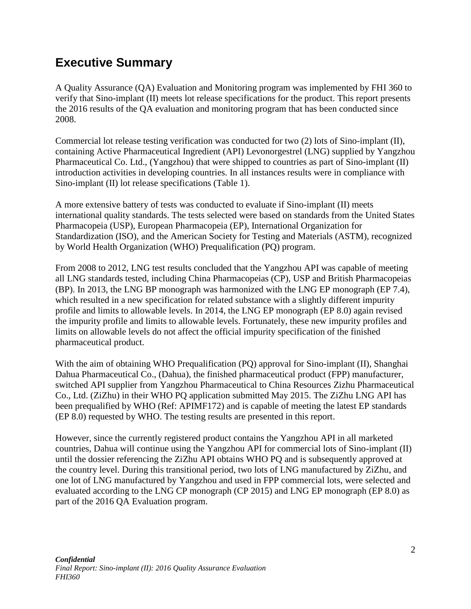# <span id="page-4-0"></span>**Executive Summary**

A Quality Assurance (QA) Evaluation and Monitoring program was implemented by FHI 360 to verify that Sino-implant (II) meets lot release specifications for the product. This report presents the 2016 results of the QA evaluation and monitoring program that has been conducted since 2008.

Commercial lot release testing verification was conducted for two (2) lots of Sino-implant (II), containing Active Pharmaceutical Ingredient (API) Levonorgestrel (LNG) supplied by Yangzhou Pharmaceutical Co. Ltd., (Yangzhou) that were shipped to countries as part of Sino-implant (II) introduction activities in developing countries. In all instances results were in compliance with Sino-implant (II) lot release specifications (Table 1).

A more extensive battery of tests was conducted to evaluate if Sino-implant (II) meets international quality standards. The tests selected were based on standards from the United States Pharmacopeia (USP), European Pharmacopeia (EP), International Organization for Standardization (ISO), and the American Society for Testing and Materials (ASTM), recognized by World Health Organization (WHO) Prequalification (PQ) program.

From 2008 to 2012, LNG test results concluded that the Yangzhou API was capable of meeting all LNG standards tested, including China Pharmacopeias (CP), USP and British Pharmacopeias (BP). In 2013, the LNG BP monograph was harmonized with the LNG EP monograph (EP 7.4), which resulted in a new specification for related substance with a slightly different impurity profile and limits to allowable levels. In 2014, the LNG EP monograph (EP 8.0) again revised the impurity profile and limits to allowable levels. Fortunately, these new impurity profiles and limits on allowable levels do not affect the official impurity specification of the finished pharmaceutical product.

With the aim of obtaining WHO Prequalification (PQ) approval for Sino-implant (II), Shanghai Dahua Pharmaceutical Co., (Dahua), the finished pharmaceutical product (FPP) manufacturer, switched API supplier from Yangzhou Pharmaceutical to China Resources Zizhu Pharmaceutical Co., Ltd. (ZiZhu) in their WHO PQ application submitted May 2015. The ZiZhu LNG API has been prequalified by WHO (Ref: APIMF172) and is capable of meeting the latest EP standards (EP 8.0) requested by WHO. The testing results are presented in this report.

However, since the currently registered product contains the Yangzhou API in all marketed countries, Dahua will continue using the Yangzhou API for commercial lots of Sino-implant (II) until the dossier referencing the ZiZhu API obtains WHO PQ and is subsequently approved at the country level. During this transitional period, two lots of LNG manufactured by ZiZhu, and one lot of LNG manufactured by Yangzhou and used in FPP commercial lots, were selected and evaluated according to the LNG CP monograph (CP 2015) and LNG EP monograph (EP 8.0) as part of the 2016 QA Evaluation program.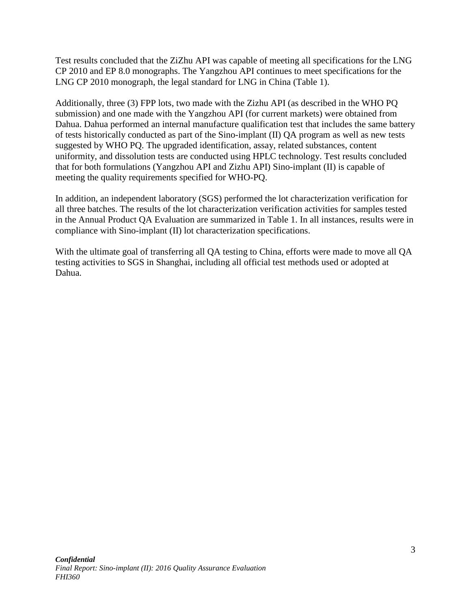Test results concluded that the ZiZhu API was capable of meeting all specifications for the LNG CP 2010 and EP 8.0 monographs. The Yangzhou API continues to meet specifications for the LNG CP 2010 monograph, the legal standard for LNG in China (Table 1).

Additionally, three (3) FPP lots, two made with the Zizhu API (as described in the WHO PQ submission) and one made with the Yangzhou API (for current markets) were obtained from Dahua. Dahua performed an internal manufacture qualification test that includes the same battery of tests historically conducted as part of the Sino-implant (II) QA program as well as new tests suggested by WHO PQ. The upgraded identification, assay, related substances, content uniformity, and dissolution tests are conducted using HPLC technology. Test results concluded that for both formulations (Yangzhou API and Zizhu API) Sino-implant (II) is capable of meeting the quality requirements specified for WHO-PQ.

In addition, an independent laboratory (SGS) performed the lot characterization verification for all three batches. The results of the lot characterization verification activities for samples tested in the Annual Product QA Evaluation are summarized in Table 1. In all instances, results were in compliance with Sino-implant (II) lot characterization specifications.

With the ultimate goal of transferring all QA testing to China, efforts were made to move all QA testing activities to SGS in Shanghai, including all official test methods used or adopted at Dahua.